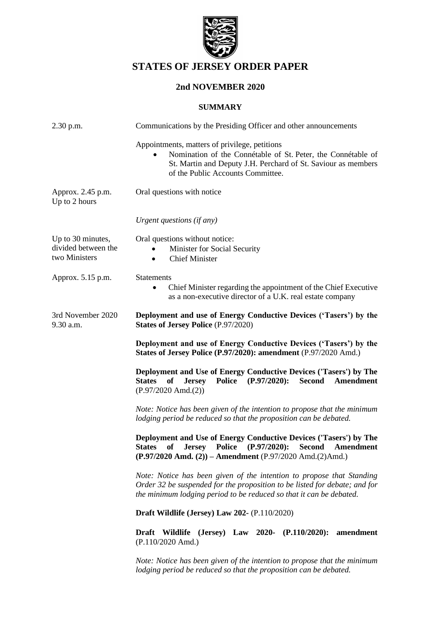

# **STATES OF JERSEY ORDER PAPER**

# **2nd NOVEMBER 2020**

### **SUMMARY**

| $2.30$ p.m.                                               | Communications by the Presiding Officer and other announcements                                                                                                                                                                                   |
|-----------------------------------------------------------|---------------------------------------------------------------------------------------------------------------------------------------------------------------------------------------------------------------------------------------------------|
|                                                           | Appointments, matters of privilege, petitions<br>Nomination of the Connétable of St. Peter, the Connétable of<br>St. Martin and Deputy J.H. Perchard of St. Saviour as members<br>of the Public Accounts Committee.                               |
| Approx. 2.45 p.m.<br>Up to 2 hours                        | Oral questions with notice                                                                                                                                                                                                                        |
|                                                           | Urgent questions (if any)                                                                                                                                                                                                                         |
| Up to 30 minutes,<br>divided between the<br>two Ministers | Oral questions without notice:<br>Minister for Social Security<br><b>Chief Minister</b><br>$\bullet$                                                                                                                                              |
| Approx. 5.15 p.m.                                         | Statements<br>Chief Minister regarding the appointment of the Chief Executive<br>as a non-executive director of a U.K. real estate company                                                                                                        |
| 3rd November 2020<br>9.30 a.m.                            | Deployment and use of Energy Conductive Devices ('Tasers') by the<br><b>States of Jersey Police (P.97/2020)</b>                                                                                                                                   |
|                                                           | Deployment and use of Energy Conductive Devices ('Tasers') by the<br>States of Jersey Police (P.97/2020): amendment (P.97/2020 Amd.)                                                                                                              |
|                                                           | Deployment and Use of Energy Conductive Devices ('Tasers') by The<br><b>Police</b><br>$(P.97/2020)$ :<br><b>Second</b><br><b>States</b><br>of<br><b>Jersey</b><br>Amendment<br>$(P.97/2020$ Amd. $(2))$                                           |
|                                                           | Note: Notice has been given of the intention to propose that the minimum<br>lodging period be reduced so that the proposition can be debated.                                                                                                     |
|                                                           | Deployment and Use of Energy Conductive Devices ('Tasers') by The<br><b>States</b><br>of<br><b>Police</b><br>$(P.97/2020)$ :<br><b>Second</b><br><b>Jersey</b><br>Amendment<br>$(P.97/2020$ Amd. $(2))$ – Amendment $(P.97/2020$ Amd. $(2)$ Amd.) |
|                                                           | Note: Notice has been given of the intention to propose that Standing<br>Order 32 be suspended for the proposition to be listed for debate; and for<br>the minimum lodging period to be reduced so that it can be debated.                        |
|                                                           | Draft Wildlife (Jersey) Law 202- (P.110/2020)                                                                                                                                                                                                     |
|                                                           | <b>Draft</b><br>Wildlife<br>(Jersey) Law 2020- $(P.110/2020)$ :<br>amendment<br>$(P.110/2020$ Amd.)                                                                                                                                               |
|                                                           | Note: Notice has been given of the intention to propose that the minimum<br>lodging period be reduced so that the proposition can be debated.                                                                                                     |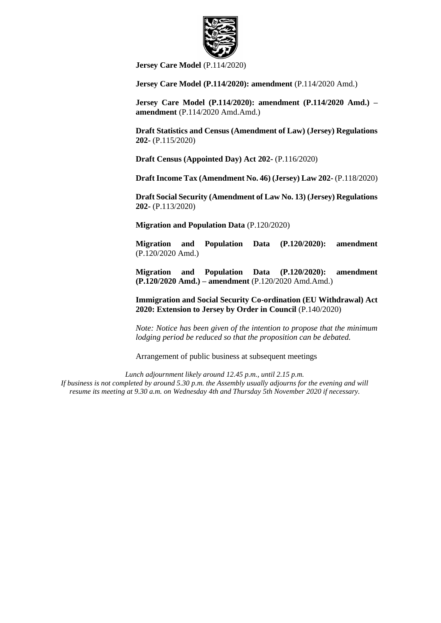

**[Jersey Care Model](https://statesassembly.gov.je/AssemblyPropositions/2020/P.114-2020.pdf)** (P.114/2020)

**Jersey Care Model (P.114/2020): amendment** (P.114/2020 Amd.)

**[Jersey Care Model \(P.114/2020\): amendment \(P.114/2020 Amd.\) –](https://statesassembly.gov.je/Pages/Propositions.aspx?ref=P.114/2020(Amd)(Amd)&refurl=%2fPages%2fPropositions.aspx%3fpage%3d2%26activity%3dtrue) amendment** [\(P.114/2020 Amd.Amd.\)](https://statesassembly.gov.je/Pages/Propositions.aspx?ref=P.114/2020(Amd)(Amd)&refurl=%2fPages%2fPropositions.aspx%3fpage%3d2%26activity%3dtrue)

**[Draft Statistics and Census \(Amendment of Law\) \(Jersey\) Regulations](https://statesassembly.gov.je/AssemblyPropositions/2020/P.115-2020.pdf)  202-** [\(P.115/2020\)](https://statesassembly.gov.je/AssemblyPropositions/2020/P.115-2020.pdf) 

**[Draft Census \(Appointed Day\) Act 202-](https://statesassembly.gov.je/AssemblyPropositions/2020/P.116-2020.pdf)** (P.116/2020)

**[Draft Income Tax \(Amendment No. 46\) \(Jersey\) Law 202-](https://statesassembly.gov.je/AssemblyPropositions/2020/P.118-2020.pdf)** (P.118/2020)

**[Draft Social Security \(Amendment of Law No. 13\) \(Jersey\) Regulations](https://statesassembly.gov.je/AssemblyPropositions/2020/P.113-2020.pdf)  202-** [\(P.113/2020\)](https://statesassembly.gov.je/AssemblyPropositions/2020/P.113-2020.pdf) 

**[Migration and Population Data](https://statesassembly.gov.je/AssemblyPropositions/2020/P.120-2020.pdf)** (P.120/2020)

**Migration and Population Data (P.120/2020): amendment** (P.120/2020 Amd.)

**[Migration and Population Data \(P.120/2020\): amendment](https://statesassembly.gov.je/AssemblyPropositions/2020/P.120-2020%20Amd.Amd.%20-%20%5bCM%5d.pdf)  (P.120/2020 Amd.) – amendment** [\(P.120/2020 Amd.Amd.\)](https://statesassembly.gov.je/AssemblyPropositions/2020/P.120-2020%20Amd.Amd.%20-%20%5bCM%5d.pdf)

**Immigration and Social Security Co-ordination (EU Withdrawal) Act 2020: Extension to Jersey by Order in Council** (P.140/2020)

*Note: Notice has been given of the intention to propose that the minimum lodging period be reduced so that the proposition can be debated.*

Arrangement of public business at subsequent meetings

*Lunch adjournment likely around 12.45 p.m., until 2.15 p.m. If business is not completed by around 5.30 p.m. the Assembly usually adjourns for the evening and will resume its meeting at 9.30 a.m. on Wednesday 4th and Thursday 5th November 2020 if necessary.*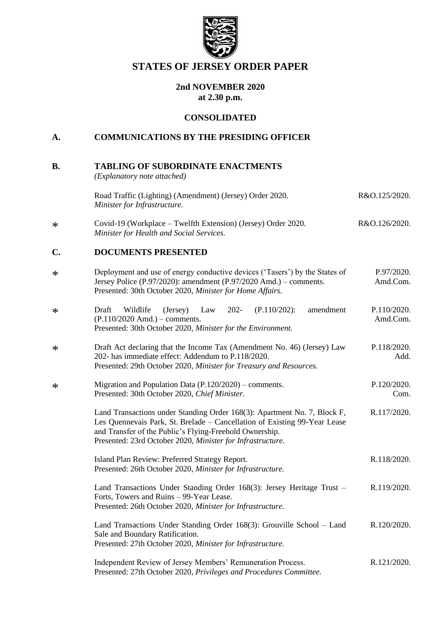

# **STATES OF JERSEY ORDER PAPER**

# **2nd NOVEMBER 2020 at 2.30 p.m.**

# **CONSOLIDATED**

# **A. COMMUNICATIONS BY THE PRESIDING OFFICER**

| <b>B.</b>      | <b>TABLING OF SUBORDINATE ENACTMENTS</b><br>(Explanatory note attached)                                                                                                                                                                                                        |                         |
|----------------|--------------------------------------------------------------------------------------------------------------------------------------------------------------------------------------------------------------------------------------------------------------------------------|-------------------------|
|                | Road Traffic (Lighting) (Amendment) (Jersey) Order 2020.<br>Minister for Infrastructure.                                                                                                                                                                                       | R&O.125/2020.           |
| $\ast$         | Covid-19 (Workplace – Twelfth Extension) (Jersey) Order 2020.<br>Minister for Health and Social Services.                                                                                                                                                                      | R&O.126/2020.           |
| $\mathbf{C}$ . | <b>DOCUMENTS PRESENTED</b>                                                                                                                                                                                                                                                     |                         |
| $\ast$         | Deployment and use of energy conductive devices ('Tasers') by the States of<br>Jersey Police (P.97/2020): amendment (P.97/2020 Amd.) – comments.<br>Presented: 30th October 2020, Minister for Home Affairs.                                                                   | P.97/2020.<br>Amd.Com.  |
| ∗              | Draft<br>Wildlife<br>$202 -$<br>$(P.110/202)$ :<br>amendment<br>(Jersey)<br>Law<br>$(P.110/2020$ Amd.) – comments.<br>Presented: 30th October 2020, Minister for the Environment.                                                                                              | P.110/2020.<br>Amd.Com. |
| ∗              | Draft Act declaring that the Income Tax (Amendment No. 46) (Jersey) Law<br>202- has immediate effect: Addendum to P.118/2020.<br>Presented: 29th October 2020, Minister for Treasury and Resources.                                                                            | P.118/2020.<br>Add.     |
| ∗              | Migration and Population Data $(P.120/2020)$ – comments.<br>Presented: 30th October 2020, Chief Minister.                                                                                                                                                                      | P.120/2020.<br>Com.     |
|                | Land Transactions under Standing Order 168(3): Apartment No. 7, Block F,<br>Les Quennevais Park, St. Brelade - Cancellation of Existing 99-Year Lease<br>and Transfer of the Public's Flying-Freehold Ownership.<br>Presented: 23rd October 2020, Minister for Infrastructure. | R.117/2020.             |
|                | Island Plan Review: Preferred Strategy Report.<br>Presented: 26th October 2020, Minister for Infrastructure.                                                                                                                                                                   | R.118/2020.             |
|                | Land Transactions Under Standing Order 168(3): Jersey Heritage Trust -<br>Forts, Towers and Ruins - 99-Year Lease.<br>Presented: 26th October 2020, Minister for Infrastructure.                                                                                               | R.119/2020.             |
|                | Land Transactions Under Standing Order 168(3): Grouville School – Land<br>Sale and Boundary Ratification.<br>Presented: 27th October 2020, Minister for Infrastructure.                                                                                                        | R.120/2020.             |
|                | Independent Review of Jersey Members' Remuneration Process.<br>Presented: 27th October 2020, Privileges and Procedures Committee.                                                                                                                                              | R.121/2020.             |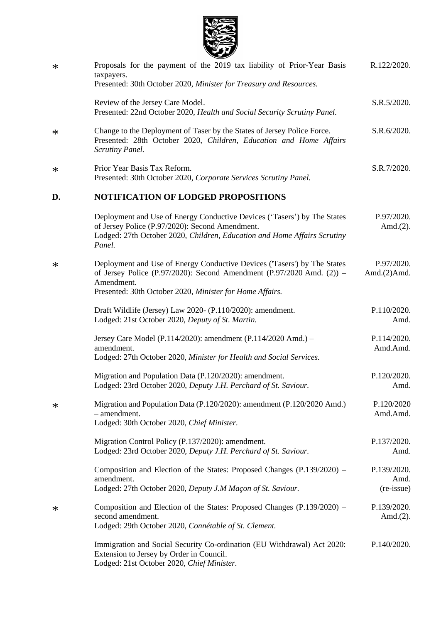

| $\ast$ | Proposals for the payment of the 2019 tax liability of Prior-Year Basis<br>taxpayers.<br>Presented: 30th October 2020, Minister for Treasury and Resources.                                                                    | R.122/2020.                       |
|--------|--------------------------------------------------------------------------------------------------------------------------------------------------------------------------------------------------------------------------------|-----------------------------------|
|        | Review of the Jersey Care Model.<br>Presented: 22nd October 2020, Health and Social Security Scrutiny Panel.                                                                                                                   | S.R.5/2020.                       |
| $\ast$ | Change to the Deployment of Taser by the States of Jersey Police Force.<br>Presented: 28th October 2020, Children, Education and Home Affairs<br><b>Scrutiny Panel.</b>                                                        | S.R.6/2020.                       |
| ∗      | Prior Year Basis Tax Reform.<br>Presented: 30th October 2020, Corporate Services Scrutiny Panel.                                                                                                                               | S.R.7/2020.                       |
| D.     | <b>NOTIFICATION OF LODGED PROPOSITIONS</b>                                                                                                                                                                                     |                                   |
|        | Deployment and Use of Energy Conductive Devices ('Tasers') by The States<br>of Jersey Police (P.97/2020): Second Amendment.<br>Lodged: 27th October 2020, Children, Education and Home Affairs Scrutiny<br>Panel.              | P.97/2020.<br>Amd. $(2)$ .        |
| $\ast$ | Deployment and Use of Energy Conductive Devices ('Tasers') by The States<br>of Jersey Police (P.97/2020): Second Amendment (P.97/2020 Amd. $(2)$ ) –<br>Amendment.<br>Presented: 30th October 2020, Minister for Home Affairs. | P.97/2020.<br>Amd. $(2)$ Amd.     |
|        | Draft Wildlife (Jersey) Law 2020- (P.110/2020): amendment.<br>Lodged: 21st October 2020, Deputy of St. Martin.                                                                                                                 | P.110/2020.<br>Amd.               |
|        | Jersey Care Model (P.114/2020): amendment (P.114/2020 Amd.) -<br>amendment.<br>Lodged: 27th October 2020, Minister for Health and Social Services.                                                                             | P.114/2020.<br>Amd.Amd.           |
|        | Migration and Population Data (P.120/2020): amendment.<br>Lodged: 23rd October 2020, Deputy J.H. Perchard of St. Saviour.                                                                                                      | P.120/2020.<br>Amd.               |
| ∗      | Migration and Population Data (P.120/2020): amendment (P.120/2020 Amd.)<br>- amendment.<br>Lodged: 30th October 2020, Chief Minister.                                                                                          | P.120/2020<br>Amd.Amd.            |
|        | Migration Control Policy (P.137/2020): amendment.<br>Lodged: 23rd October 2020, Deputy J.H. Perchard of St. Saviour.                                                                                                           | P.137/2020.<br>Amd.               |
|        | Composition and Election of the States: Proposed Changes (P.139/2020) –<br>amendment.<br>Lodged: 27th October 2020, Deputy J.M Maçon of St. Saviour.                                                                           | P.139/2020.<br>Amd.<br>(re-issue) |
| ∗      | Composition and Election of the States: Proposed Changes (P.139/2020) –<br>second amendment.<br>Lodged: 29th October 2020, Connétable of St. Clement.                                                                          | P.139/2020.<br>Amd. $(2)$ .       |
|        | Immigration and Social Security Co-ordination (EU Withdrawal) Act 2020:<br>Extension to Jersey by Order in Council.<br>Lodged: 21st October 2020, Chief Minister.                                                              | P.140/2020.                       |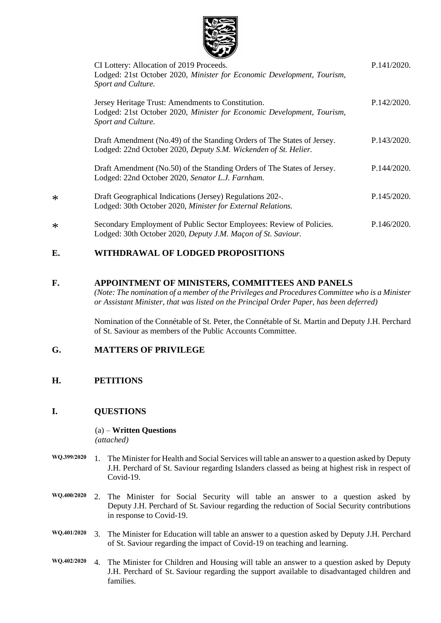

| CI Lottery: Allocation of 2019 Proceeds.                                                                                                           | P.141/2020. |
|----------------------------------------------------------------------------------------------------------------------------------------------------|-------------|
| Lodged: 21st October 2020, Minister for Economic Development, Tourism,<br>Sport and Culture.                                                       |             |
| Jersey Heritage Trust: Amendments to Constitution.<br>Lodged: 21st October 2020, Minister for Economic Development, Tourism,<br>Sport and Culture. | P.142/2020. |
| Draft Amendment (No.49) of the Standing Orders of The States of Jersey.<br>Lodged: 22nd October 2020, Deputy S.M. Wickenden of St. Helier.         | P.143/2020. |
| Draft Amendment (No.50) of the Standing Orders of The States of Jersey.<br>Lodged: 22nd October 2020, Senator L.J. Farnham.                        | P.144/2020. |
| Draft Geographical Indications (Jersey) Regulations 202-.<br>Lodged: 30th October 2020, Minister for External Relations.                           | P.145/2020. |
| Secondary Employment of Public Sector Employees: Review of Policies.<br>Lodged: 30th October 2020, Deputy J.M. Maçon of St. Saviour.               | P.146/2020. |

# **E. WITHDRAWAL OF LODGED PROPOSITIONS**

### **F. APPOINTMENT OF MINISTERS, COMMITTEES AND PANELS**

*(Note: The nomination of a member of the Privileges and Procedures Committee who is a Minister or Assistant Minister, that was listed on the Principal Order Paper, has been deferred)*

Nomination of the Connétable of St. Peter, the Connétable of St. Martin and Deputy J.H. Perchard of St. Saviour as members of the Public Accounts Committee.

# **G. MATTERS OF PRIVILEGE**

### **H. PETITIONS**

\*

\*

### **I. QUESTIONS**

(a) – **Written Questions** *(attached)*

- **WQ.399/2020** 1. The Minister for Health and Social Services will table an answer to a question asked by Deputy J.H. Perchard of St. Saviour regarding Islanders classed as being at highest risk in respect of Covid-19.
- **WQ.400/2020** 2. The Minister for Social Security will table an answer to a question asked by Deputy J.H. Perchard of St. Saviour regarding the reduction of Social Security contributions in response to Covid-19.
- **WQ.401/2020** 3. The Minister for Education will table an answer to a question asked by Deputy J.H. Perchard of St. Saviour regarding the impact of Covid-19 on teaching and learning.
- **WQ.402/2020** 4. The Minister for Children and Housing will table an answer to a question asked by Deputy J.H. Perchard of St. Saviour regarding the support available to disadvantaged children and families.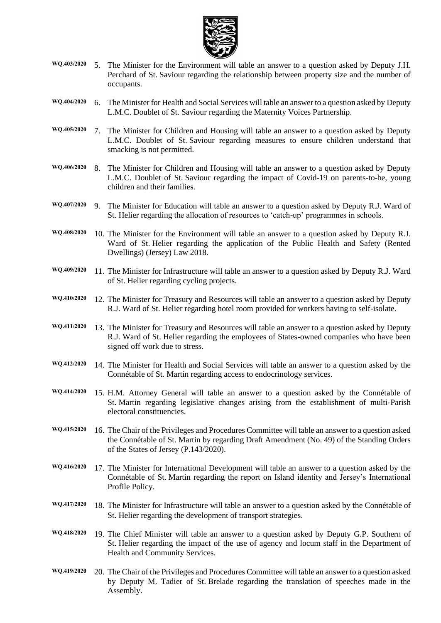

- **WQ.403/2020** 5. The Minister for the Environment will table an answer to a question asked by Deputy J.H. Perchard of St. Saviour regarding the relationship between property size and the number of occupants.
- **WQ.404/2020** 6. The Minister for Health and Social Services will table an answer to a question asked by Deputy L.M.C. Doublet of St. Saviour regarding the Maternity Voices Partnership.
- **WQ.405/2020** 7. The Minister for Children and Housing will table an answer to a question asked by Deputy L.M.C. Doublet of St. Saviour regarding measures to ensure children understand that smacking is not permitted.
- **WQ.406/2020** 8. The Minister for Children and Housing will table an answer to a question asked by Deputy L.M.C. Doublet of St. Saviour regarding the impact of Covid-19 on parents-to-be, young children and their families.
- **WQ.407/2020** 9. The Minister for Education will table an answer to a question asked by Deputy R.J. Ward of St. Helier regarding the allocation of resources to 'catch-up' programmes in schools.
- **WQ.408/2020** 10. The Minister for the Environment will table an answer to a question asked by Deputy R.J. Ward of St. Helier regarding the application of the Public Health and Safety (Rented Dwellings) (Jersey) Law 2018.
- **WQ.409/2020** 11. The Minister for Infrastructure will table an answer to a question asked by Deputy R.J. Ward of St. Helier regarding cycling projects.
- **WQ.410/2020** 12. The Minister for Treasury and Resources will table an answer to a question asked by Deputy R.J. Ward of St. Helier regarding hotel room provided for workers having to self-isolate.
- **WQ.411/2020** 13. The Minister for Treasury and Resources will table an answer to a question asked by Deputy R.J. Ward of St. Helier regarding the employees of States-owned companies who have been signed off work due to stress.
- **WQ.412/2020** 14. The Minister for Health and Social Services will table an answer to a question asked by the Connétable of St. Martin regarding access to endocrinology services.
- **WQ.414/2020** 15. H.M. Attorney General will table an answer to a question asked by the Connétable of St. Martin regarding legislative changes arising from the establishment of multi-Parish electoral constituencies.
- **WQ.415/2020** 16. The Chair of the Privileges and Procedures Committee will table an answer to a question asked the Connétable of St. Martin by regarding Draft Amendment (No. 49) of the Standing Orders of the States of Jersey (P.143/2020).
- **WQ.416/2020** 17. The Minister for International Development will table an answer to a question asked by the Connétable of St. Martin regarding the report on Island identity and Jersey's International Profile Policy.
- **WQ.417/2020** 18. The Minister for Infrastructure will table an answer to a question asked by the Connétable of St. Helier regarding the development of transport strategies.
- **WQ.418/2020** 19. The Chief Minister will table an answer to a question asked by Deputy G.P. Southern of St. Helier regarding the impact of the use of agency and locum staff in the Department of Health and Community Services.
- **WQ.419/2020** 20. The Chair of the Privileges and Procedures Committee will table an answer to a question asked by Deputy M. Tadier of St. Brelade regarding the translation of speeches made in the Assembly.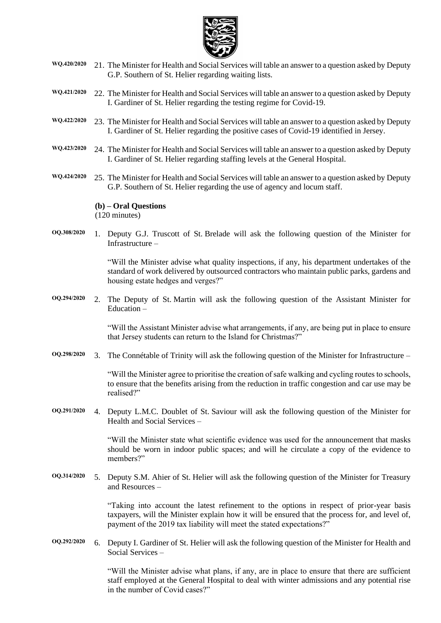

- **WQ.420/2020** 21. The Minister for Health and Social Services will table an answer to a question asked by Deputy G.P. Southern of St. Helier regarding waiting lists.
- **WQ.421/2020** 22. The Minister for Health and Social Services will table an answer to a question asked by Deputy I. Gardiner of St. Helier regarding the testing regime for Covid-19.
- **WQ.422/2020** 23. The Minister for Health and Social Services will table an answer to a question asked by Deputy I. Gardiner of St. Helier regarding the positive cases of Covid-19 identified in Jersey.
- **WQ.423/2020** 24. The Minister for Health and Social Services will table an answer to a question asked by Deputy I. Gardiner of St. Helier regarding staffing levels at the General Hospital.
- **WQ.424/2020** 25. The Minister for Health and Social Services will table an answer to a question asked by Deputy G.P. Southern of St. Helier regarding the use of agency and locum staff.

#### **(b) – Oral Questions**

(120 minutes)

**OQ.308/2020** 1. Deputy G.J. Truscott of St. Brelade will ask the following question of the Minister for Infrastructure –

> "Will the Minister advise what quality inspections, if any, his department undertakes of the standard of work delivered by outsourced contractors who maintain public parks, gardens and housing estate hedges and verges?"

**OQ.294/2020** 2. The Deputy of St. Martin will ask the following question of the Assistant Minister for Education –

> "Will the Assistant Minister advise what arrangements, if any, are being put in place to ensure that Jersey students can return to the Island for Christmas?"

**OQ.298/2020** 3. The Connétable of Trinity will ask the following question of the Minister for Infrastructure –

"Will the Minister agree to prioritise the creation of safe walking and cycling routes to schools, to ensure that the benefits arising from the reduction in traffic congestion and car use may be realised?"

**OQ.291/2020** 4. Deputy L.M.C. Doublet of St. Saviour will ask the following question of the Minister for Health and Social Services –

> "Will the Minister state what scientific evidence was used for the announcement that masks should be worn in indoor public spaces; and will he circulate a copy of the evidence to members?"

**OQ.314/2020** 5. Deputy S.M. Ahier of St. Helier will ask the following question of the Minister for Treasury and Resources –

> "Taking into account the latest refinement to the options in respect of prior-year basis taxpayers, will the Minister explain how it will be ensured that the process for, and level of, payment of the 2019 tax liability will meet the stated expectations?"

**OQ.292/2020** 6. Deputy I. Gardiner of St. Helier will ask the following question of the Minister for Health and Social Services –

> "Will the Minister advise what plans, if any, are in place to ensure that there are sufficient staff employed at the General Hospital to deal with winter admissions and any potential rise in the number of Covid cases?"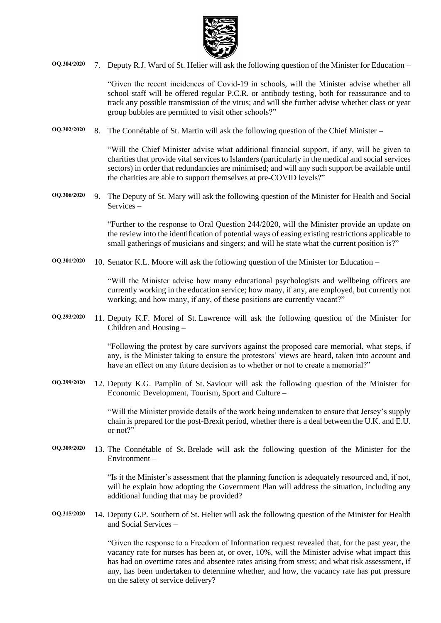

**OQ.304/2020** 7. Deputy R.J. Ward of St. Helier will ask the following question of the Minister for Education –

"Given the recent incidences of Covid-19 in schools, will the Minister advise whether all school staff will be offered regular P.C.R. or antibody testing, both for reassurance and to track any possible transmission of the virus; and will she further advise whether class or year group bubbles are permitted to visit other schools?"

**OQ.302/2020** 8. The Connétable of St. Martin will ask the following question of the Chief Minister –

"Will the Chief Minister advise what additional financial support, if any, will be given to charities that provide vital services to Islanders (particularly in the medical and social services sectors) in order that redundancies are minimised; and will any such support be available until the charities are able to support themselves at pre-COVID levels?"

**OQ.306/2020** 9. The Deputy of St. Mary will ask the following question of the Minister for Health and Social Services –

> "Further to the response to Oral Question 244/2020, will the Minister provide an update on the review into the identification of potential ways of easing existing restrictions applicable to small gatherings of musicians and singers; and will he state what the current position is?"

**OQ.301/2020** 10. Senator K.L. Moore will ask the following question of the Minister for Education –

"Will the Minister advise how many educational psychologists and wellbeing officers are currently working in the education service; how many, if any, are employed, but currently not working; and how many, if any, of these positions are currently vacant?"

**OQ.293/2020** 11. Deputy K.F. Morel of St. Lawrence will ask the following question of the Minister for Children and Housing –

> "Following the protest by care survivors against the proposed care memorial, what steps, if any, is the Minister taking to ensure the protestors' views are heard, taken into account and have an effect on any future decision as to whether or not to create a memorial?"

**OQ.299/2020** 12. Deputy K.G. Pamplin of St. Saviour will ask the following question of the Minister for Economic Development, Tourism, Sport and Culture –

> "Will the Minister provide details of the work being undertaken to ensure that Jersey's supply chain is prepared for the post-Brexit period, whether there is a deal between the U.K. and E.U. or not?"

**OQ.309/2020** 13. The Connétable of St. Brelade will ask the following question of the Minister for the Environment –

> "Is it the Minister's assessment that the planning function is adequately resourced and, if not, will he explain how adopting the Government Plan will address the situation, including any additional funding that may be provided?

**OQ.315/2020** 14. Deputy G.P. Southern of St. Helier will ask the following question of the Minister for Health and Social Services –

> "Given the response to a Freedom of Information request revealed that, for the past year, the vacancy rate for nurses has been at, or over, 10%, will the Minister advise what impact this has had on overtime rates and absentee rates arising from stress; and what risk assessment, if any, has been undertaken to determine whether, and how, the vacancy rate has put pressure on the safety of service delivery?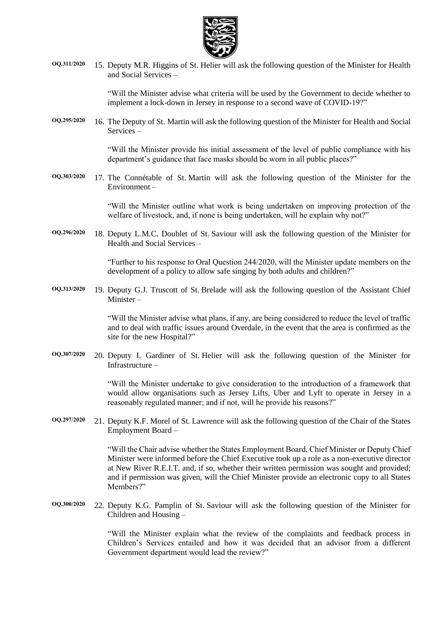

**OQ.311/2020** 15. Deputy M.R. Higgins of St. Helier will ask the following question of the Minister for Health and Social Services –

> "Will the Minister advise what criteria will be used by the Government to decide whether to implement a lock-down in Jersey in response to a second wave of COVID-19?"

**OQ.295/2020** 16. The Deputy of St. Martin will ask the following question of the Minister for Health and Social Services –

> "Will the Minister provide his initial assessment of the level of public compliance with his department's guidance that face masks should be worn in all public places?"

**OQ.303/2020** 17. The Connétable of St. Martin will ask the following question of the Minister for the Environment –

> "Will the Minister outline what work is being undertaken on improving protection of the welfare of livestock, and, if none is being undertaken, will he explain why not?"

**OQ.296/2020** 18. Deputy L.M.C. Doublet of St. Saviour will ask the following question of the Minister for Health and Social Services –

> "Further to his response to Oral Question 244/2020, will the Minister update members on the development of a policy to allow safe singing by both adults and children?"

**OQ.313/2020** 19. Deputy G.J. Truscott of St. Brelade will ask the following question of the Assistant Chief Minister –

> "Will the Minister advise what plans, if any, are being considered to reduce the level of traffic and to deal with traffic issues around Overdale, in the event that the area is confirmed as the site for the new Hospital?"

**OQ.307/2020** 20. Deputy I. Gardiner of St. Helier will ask the following question of the Minister for Infrastructure –

> "Will the Minister undertake to give consideration to the introduction of a framework that would allow organisations such as Jersey Lifts, Uber and Lyft to operate in Jersey in a reasonably regulated manner; and if not, will he provide his reasons?"

**OQ.297/2020** 21. Deputy K.F. Morel of St. Lawrence will ask the following question of the Chair of the States Employment Board –

> "Will the Chair advise whether the States Employment Board, Chief Minister or Deputy Chief Minister were informed before the Chief Executive took up a role as a non-executive director at New River R.E.I.T. and, if so, whether their written permission was sought and provided; and if permission was given, will the Chief Minister provide an electronic copy to all States Members?"

**OQ.300/2020** 22. Deputy K.G. Pamplin of St. Saviour will ask the following question of the Minister for Children and Housing –

> "Will the Minister explain what the review of the complaints and feedback process in Children's Services entailed and how it was decided that an advisor from a different Government department would lead the review?"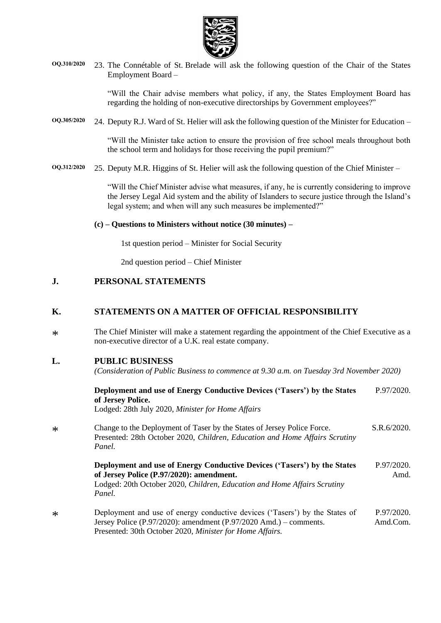

**OQ.310/2020** 23. The Connétable of St. Brelade will ask the following question of the Chair of the States Employment Board –

> "Will the Chair advise members what policy, if any, the States Employment Board has regarding the holding of non-executive directorships by Government employees?"

**OQ.305/2020** 24. Deputy R.J. Ward of St. Helier will ask the following question of the Minister for Education –

"Will the Minister take action to ensure the provision of free school meals throughout both the school term and holidays for those receiving the pupil premium?"

**OQ.312/2020** 25. Deputy M.R. Higgins of St. Helier will ask the following question of the Chief Minister –

"Will the Chief Minister advise what measures, if any, he is currently considering to improve the Jersey Legal Aid system and the ability of Islanders to secure justice through the Island's legal system; and when will any such measures be implemented?"

#### **(c) – Questions to Ministers without notice (30 minutes) –**

1st question period – Minister for Social Security

2nd question period – Chief Minister

### **J. PERSONAL STATEMENTS**

### **K. STATEMENTS ON A MATTER OF OFFICIAL RESPONSIBILITY**

\* The Chief Minister will make a statement regarding the appointment of the Chief Executive as a non-executive director of a U.K. real estate company.

### **L. PUBLIC BUSINESS**

\*

\*

*(Consideration of Public Business to commence at 9.30 a.m. on Tuesday 3rd November 2020)*

| Deployment and use of Energy Conductive Devices ('Tasers') by the States<br>of Jersey Police.                                                                                                                     | P.97/2020.             |
|-------------------------------------------------------------------------------------------------------------------------------------------------------------------------------------------------------------------|------------------------|
| Lodged: 28th July 2020, Minister for Home Affairs                                                                                                                                                                 |                        |
| Change to the Deployment of Taser by the States of Jersey Police Force.<br>Presented: 28th October 2020, Children, Education and Home Affairs Scrutiny<br>Panel.                                                  | S.R.6/2020.            |
| Deployment and use of Energy Conductive Devices ('Tasers') by the States<br>of Jersey Police (P.97/2020): amendment.<br>Lodged: 20th October 2020, Children, Education and Home Affairs Scrutiny<br>Panel.        | P.97/2020.<br>Amd.     |
| Deployment and use of energy conductive devices ('Tasers') by the States of<br>Jersey Police $(P.97/2020)$ : amendment $(P.97/2020$ Amd.) – comments.<br>Presented: 30th October 2020, Minister for Home Affairs. | P.97/2020.<br>Amd.Com. |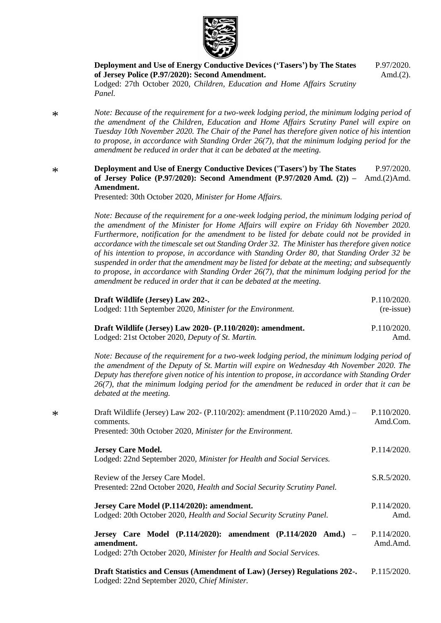

**[Deployment and Use of Energy Conductive Devices \('Tasers'\) by The States](https://statesassembly.gov.je/AssemblyPropositions/2020/P.97-2020Amd2.pdf)  [of Jersey Police \(P.97/2020\): Second Amendment.](https://statesassembly.gov.je/AssemblyPropositions/2020/P.97-2020Amd2.pdf)** Lodged: 27th October 2020, *[Children, Education and Home Affairs Scrutiny](https://statesassembly.gov.je/AssemblyPropositions/2020/P.97-2020Amd2.pdf)  [Panel.](https://statesassembly.gov.je/AssemblyPropositions/2020/P.97-2020Amd2.pdf)* [P.97/2020.](https://statesassembly.gov.je/AssemblyPropositions/2020/P.97-2020Amd2.pdf)

[Amd.\(2\).](https://statesassembly.gov.je/AssemblyPropositions/2020/P.97-2020Amd2.pdf)

*Note: Because of the requirement for a two-week lodging period, the minimum lodging period of the amendment of the Children, Education and Home Affairs Scrutiny Panel will expire on Tuesday 10th November 2020. The Chair of the Panel has therefore given notice of his intention to propose, in accordance with Standing Order 26(7), that the minimum lodging period for the amendment be reduced in order that it can be debated at the meeting.*

#### \* **[Deployment and Use of Energy Conductive Devices \('Tasers'\) by The States](https://statesassembly.gov.je/AssemblyPropositions/2020/P.97-2020Amd(2)Amd.pdf)  [of Jersey Police \(P.97/2020\): Second Amendment \(P.97/2020](https://statesassembly.gov.je/AssemblyPropositions/2020/P.97-2020Amd(2)Amd.pdf) Amd. (2)) –** [Amd.\(2\)Amd.](https://statesassembly.gov.je/AssemblyPropositions/2020/P.97-2020Amd(2)Amd.pdf) **[Amendment.](https://statesassembly.gov.je/AssemblyPropositions/2020/P.97-2020Amd(2)Amd.pdf)**  [P.97/2020.](https://statesassembly.gov.je/AssemblyPropositions/2020/P.97-2020Amd(2)Amd.pdf)

[Presented: 30th October 2020,](https://statesassembly.gov.je/AssemblyPropositions/2020/P.97-2020Amd(2)Amd.pdf) *Minister for Home Affairs.*

*Note: Because of the requirement for a one-week lodging period, the minimum lodging period of the amendment of the Minister for Home Affairs will expire on Friday 6th November 2020. Furthermore, notification for the amendment to be listed for debate could not be provided in accordance with the timescale set out Standing Order 32. The Minister has therefore given notice of his intention to propose, in accordance with Standing Order 80, that Standing Order 32 be suspended in order that the amendment may be listed for debate at the meeting; and subsequently to propose, in accordance with Standing Order 26(7), that the minimum lodging period for the amendment be reduced in order that it can be debated at the meeting.*

| Draft Wildlife (Jersey) Law 202-.<br>Lodged: 11th September 2020, Minister for the Environment.                                                                                                                                                                                                                                                                                                                             | P.110/2020.<br>(re-issue) |
|-----------------------------------------------------------------------------------------------------------------------------------------------------------------------------------------------------------------------------------------------------------------------------------------------------------------------------------------------------------------------------------------------------------------------------|---------------------------|
| Draft Wildlife (Jersey) Law 2020- (P.110/2020): amendment.<br>Lodged: 21st October 2020, Deputy of St. Martin.                                                                                                                                                                                                                                                                                                              | P.110/2020.<br>Amd.       |
| Note: Because of the requirement for a two-week lodging period, the minimum lodging period of<br>the amendment of the Deputy of St. Martin will expire on Wednesday 4th November 2020. The<br>Deputy has therefore given notice of his intention to propose, in accordance with Standing Order<br>$26(7)$ , that the minimum lodging period for the amendment be reduced in order that it can be<br>debated at the meeting. |                           |
| Draft Wildlife (Jersey) Law 202- (P.110/202): amendment (P.110/2020 Amd.) –<br>comments.<br>Presented: 30th October 2020, Minister for the Environment.                                                                                                                                                                                                                                                                     | P.110/2020.<br>Amd.Com.   |
| <b>Jersey Care Model.</b><br>Lodged: 22nd September 2020, Minister for Health and Social Services.                                                                                                                                                                                                                                                                                                                          | P.114/2020.               |
| Review of the Jersey Care Model.<br>Presented: 22nd October 2020, Health and Social Security Scrutiny Panel.                                                                                                                                                                                                                                                                                                                | S.R.5/2020.               |
| Jersey Care Model (P.114/2020): amendment.<br>Lodged: 20th October 2020, Health and Social Security Scrutiny Panel.                                                                                                                                                                                                                                                                                                         | P.114/2020.<br>Amd.       |
| Jersey Care Model (P.114/2020): amendment (P.114/2020 Amd.) -<br>amendment.<br>Lodged: 27th October 2020, Minister for Health and Social Services.                                                                                                                                                                                                                                                                          | P.114/2020.<br>Amd.Amd.   |
| Draft Statistics and Census (Amendment of Law) (Jersey) Regulations 202-.<br>Lodged: 22nd September 2020, Chief Minister.                                                                                                                                                                                                                                                                                                   | P.115/2020.               |

\*

\*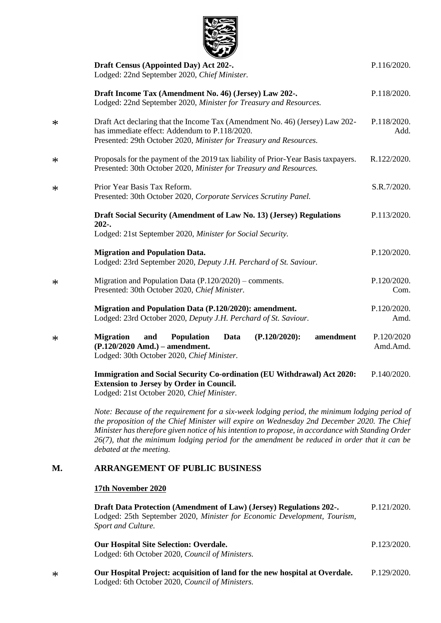

|        | Draft Census (Appointed Day) Act 202-.<br>Lodged: 22nd September 2020, Chief Minister.                                                                                                              | P.116/2020.            |
|--------|-----------------------------------------------------------------------------------------------------------------------------------------------------------------------------------------------------|------------------------|
|        | Draft Income Tax (Amendment No. 46) (Jersey) Law 202-.<br>Lodged: 22nd September 2020, Minister for Treasury and Resources.                                                                         | P.118/2020.            |
| $\ast$ | Draft Act declaring that the Income Tax (Amendment No. 46) (Jersey) Law 202-<br>has immediate effect: Addendum to P.118/2020.<br>Presented: 29th October 2020, Minister for Treasury and Resources. | P.118/2020.<br>Add.    |
| $\ast$ | Proposals for the payment of the 2019 tax liability of Prior-Year Basis taxpayers.<br>Presented: 30th October 2020, Minister for Treasury and Resources.                                            | R.122/2020.            |
| $\ast$ | Prior Year Basis Tax Reform.<br>Presented: 30th October 2020, Corporate Services Scrutiny Panel.                                                                                                    | S.R.7/2020.            |
|        | Draft Social Security (Amendment of Law No. 13) (Jersey) Regulations<br>$202-.$<br>Lodged: 21st September 2020, Minister for Social Security.                                                       | P.113/2020.            |
|        | <b>Migration and Population Data.</b><br>Lodged: 23rd September 2020, Deputy J.H. Perchard of St. Saviour.                                                                                          | P.120/2020.            |
| $\ast$ | Migration and Population Data (P.120/2020) – comments.<br>Presented: 30th October 2020, Chief Minister.                                                                                             | P.120/2020.<br>Com.    |
|        | Migration and Population Data (P.120/2020): amendment.<br>Lodged: 23rd October 2020, Deputy J.H. Perchard of St. Saviour.                                                                           | P.120/2020.<br>Amd.    |
| $\ast$ | $(P.120/2020)$ :<br>amendment<br><b>Migration</b><br><b>Population</b><br>Data<br>and<br>$(P.120/2020$ Amd.) – amendment.<br>Lodged: 30th October 2020, Chief Minister.                             | P.120/2020<br>Amd.Amd. |
|        | Immigration and Social Security Co-ordination (EU Withdrawal) Act 2020:                                                                                                                             | P.140/2020.            |

**Extension to Jersey by Order in Council.** 

Lodged: 21st October 2020, *Chief Minister.*

*Note: Because of the requirement for a six-week lodging period, the minimum lodging period of the proposition of the Chief Minister will expire on Wednesday 2nd December 2020. The Chief Minister has therefore given notice of his intention to propose, in accordance with Standing Order 26(7), that the minimum lodging period for the amendment be reduced in order that it can be debated at the meeting.*

## **M. ARRANGEMENT OF PUBLIC BUSINESS**

#### **17th November 2020**

**[Draft Data Protection \(Amendment of Law\) \(Jersey\) Regulations 202-.](https://statesassembly.gov.je/assemblypropositions/2020/p.121-2020.pdf)** Lodged: 25th September 2020, *[Minister for Economic Development, Tourism,](https://statesassembly.gov.je/assemblypropositions/2020/p.121-2020.pdf)  [Sport and Culture.](https://statesassembly.gov.je/assemblypropositions/2020/p.121-2020.pdf)* [P.121/2020.](https://statesassembly.gov.je/assemblypropositions/2020/p.121-2020.pdf)

| <b>Our Hospital Site Selection: Overdale.</b>           | P.123/2020. |
|---------------------------------------------------------|-------------|
| Lodged: 6th October 2020, <i>Council of Ministers</i> . |             |
|                                                         |             |

\* **[Our Hospital Project: acquisition of land for the new hospital at Overdale.](https://statesassembly.gov.je/AssemblyPropositions/2020/P.129-2020.pdf)** [Lodged: 6th October 2020,](https://statesassembly.gov.je/AssemblyPropositions/2020/P.129-2020.pdf) *Council of Ministers.* [P.129/2020.](https://statesassembly.gov.je/AssemblyPropositions/2020/P.129-2020.pdf)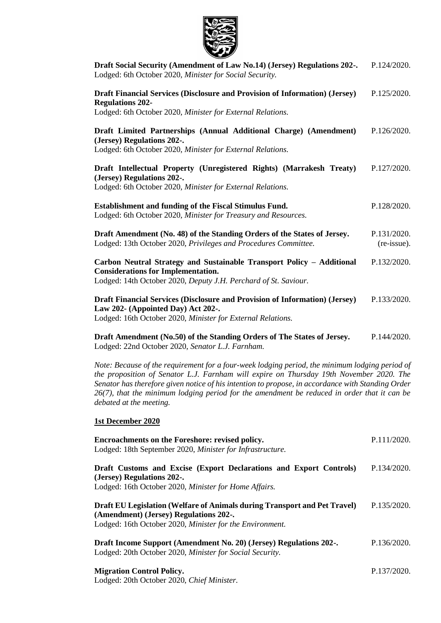

| Draft Social Security (Amendment of Law No.14) (Jersey) Regulations 202-.<br>Lodged: 6th October 2020, Minister for Social Security.                                                  | P.124/2020.                |
|---------------------------------------------------------------------------------------------------------------------------------------------------------------------------------------|----------------------------|
| Draft Financial Services (Disclosure and Provision of Information) (Jersey)<br><b>Regulations 202-</b><br>Lodged: 6th October 2020, Minister for External Relations.                  | P.125/2020.                |
| Draft Limited Partnerships (Annual Additional Charge) (Amendment)<br>(Jersey) Regulations 202-.<br>Lodged: 6th October 2020, Minister for External Relations.                         | P.126/2020.                |
| Draft Intellectual Property (Unregistered Rights) (Marrakesh Treaty)<br>(Jersey) Regulations 202-.<br>Lodged: 6th October 2020, Minister for External Relations.                      | P.127/2020.                |
| Establishment and funding of the Fiscal Stimulus Fund.<br>Lodged: 6th October 2020, Minister for Treasury and Resources.                                                              | P.128/2020.                |
| Draft Amendment (No. 48) of the Standing Orders of the States of Jersey.<br>Lodged: 13th October 2020, Privileges and Procedures Committee.                                           | P.131/2020.<br>(re-issue). |
| Carbon Neutral Strategy and Sustainable Transport Policy - Additional<br><b>Considerations for Implementation.</b><br>Lodged: 14th October 2020, Deputy J.H. Perchard of St. Saviour. | P.132/2020.                |
| Draft Financial Services (Disclosure and Provision of Information) (Jersey)<br>Law 202- (Appointed Day) Act 202-.<br>Lodged: 16th October 2020, Minister for External Relations.      | P.133/2020.                |

**Draft Amendment (No.50) of the Standing Orders of The States of Jersey.** Lodged: 22nd October 2020, *Senator L.J. Farnham.* P.144/2020.

*Note: Because of the requirement for a four-week lodging period, the minimum lodging period of the proposition of Senator L.J. Farnham will expire on Thursday 19th November 2020. The Senator has therefore given notice of his intention to propose, in accordance with Standing Order 26(7), that the minimum lodging period for the amendment be reduced in order that it can be debated at the meeting.*

#### **1st December 2020**

| Encroachments on the Foreshore: revised policy.<br>Lodged: 18th September 2020, Minister for Infrastructure.                                                                    | P.111/2020. |
|---------------------------------------------------------------------------------------------------------------------------------------------------------------------------------|-------------|
| Draft Customs and Excise (Export Declarations and Export Controls)<br>(Jersey) Regulations 202-.<br>Lodged: 16th October 2020, Minister for Home Affairs.                       | P.134/2020. |
| Draft EU Legislation (Welfare of Animals during Transport and Pet Travel)<br>(Amendment) (Jersey) Regulations 202-.<br>Lodged: 16th October 2020, Minister for the Environment. | P.135/2020. |
| Draft Income Support (Amendment No. 20) (Jersey) Regulations 202-.<br>Lodged: 20th October 2020, Minister for Social Security.                                                  | P.136/2020. |
| <b>Migration Control Policy.</b>                                                                                                                                                | P.137/2020. |

Lodged: 20th October 2020, *Chief Minister.*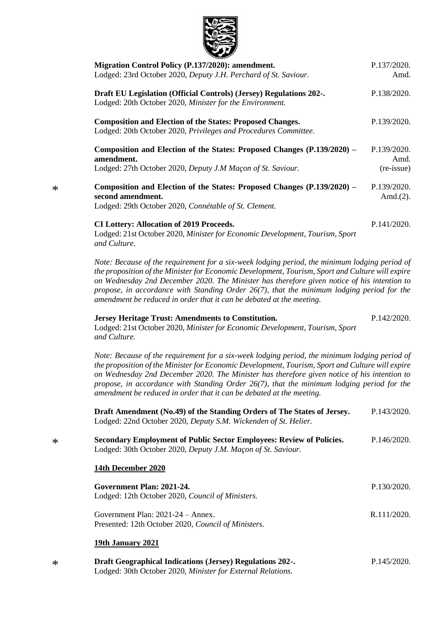

| Migration Control Policy (P.137/2020): amendment.<br>Lodged: 23rd October 2020, Deputy J.H. Perchard of St. Saviour.                                                                                                                                                                                                                                                                                                                                                     | P.137/2020.<br>Amd.         |
|--------------------------------------------------------------------------------------------------------------------------------------------------------------------------------------------------------------------------------------------------------------------------------------------------------------------------------------------------------------------------------------------------------------------------------------------------------------------------|-----------------------------|
| Draft EU Legislation (Official Controls) (Jersey) Regulations 202-.<br>Lodged: 20th October 2020, Minister for the Environment.                                                                                                                                                                                                                                                                                                                                          | P.138/2020.                 |
| <b>Composition and Election of the States: Proposed Changes.</b><br>Lodged: 20th October 2020, Privileges and Procedures Committee.                                                                                                                                                                                                                                                                                                                                      | P.139/2020.                 |
| Composition and Election of the States: Proposed Changes (P.139/2020) –<br>amendment.                                                                                                                                                                                                                                                                                                                                                                                    | P.139/2020.<br>Amd.         |
| Lodged: 27th October 2020, Deputy J.M Maçon of St. Saviour.                                                                                                                                                                                                                                                                                                                                                                                                              | (re-issue)                  |
| Composition and Election of the States: Proposed Changes (P.139/2020) –<br>second amendment.<br>Lodged: 29th October 2020, Connétable of St. Clement.                                                                                                                                                                                                                                                                                                                    | P.139/2020.<br>Amd. $(2)$ . |
| <b>CI Lottery: Allocation of 2019 Proceeds.</b><br>Lodged: 21st October 2020, Minister for Economic Development, Tourism, Sport<br>and Culture.                                                                                                                                                                                                                                                                                                                          | P.141/2020.                 |
| Note: Because of the requirement for a six-week lodging period, the minimum lodging period of<br>the proposition of the Minister for Economic Development, Tourism, Sport and Culture will expire<br>on Wednesday 2nd December 2020. The Minister has therefore given notice of his intention to<br>propose, in accordance with Standing Order $26(7)$ , that the minimum lodging period for the<br>amendment be reduced in order that it can be debated at the meeting. |                             |
| <b>Jersey Heritage Trust: Amendments to Constitution.</b><br>Lodged: 21st October 2020, Minister for Economic Development, Tourism, Sport<br>and Culture.                                                                                                                                                                                                                                                                                                                | P.142/2020.                 |
| Note: Because of the requirement for a six-week lodging period, the minimum lodging period of<br>the proposition of the Minister for Economic Development, Tourism, Sport and Culture will expire<br>on Wednesday 2nd December 2020. The Minister has therefore given notice of his intention to<br>propose, in accordance with Standing Order 26(7), that the minimum lodging period for the<br>amendment be reduced in order that it can be debated at the meeting.    |                             |
| Draft Amendment (No.49) of the Standing Orders of The States of Jersey.                                                                                                                                                                                                                                                                                                                                                                                                  | P.143/2020.                 |
| Lodged: 22nd October 2020, Deputy S.M. Wickenden of St. Helier.                                                                                                                                                                                                                                                                                                                                                                                                          |                             |
| Secondary Employment of Public Sector Employees: Review of Policies.<br>Lodged: 30th October 2020, Deputy J.M. Maçon of St. Saviour.                                                                                                                                                                                                                                                                                                                                     | P.146/2020.                 |
| 14th December 2020                                                                                                                                                                                                                                                                                                                                                                                                                                                       |                             |
| Government Plan: 2021-24.<br>Lodged: 12th October 2020, Council of Ministers.                                                                                                                                                                                                                                                                                                                                                                                            | P.130/2020.                 |
| Government Plan: 2021-24 - Annex.<br>Presented: 12th October 2020, Council of Ministers.                                                                                                                                                                                                                                                                                                                                                                                 | R.111/2020.                 |
| 19th January 2021                                                                                                                                                                                                                                                                                                                                                                                                                                                        |                             |
| <b>Draft Geographical Indications (Jersey) Regulations 202-.</b>                                                                                                                                                                                                                                                                                                                                                                                                         | P.145/2020.                 |

Lodged: 30th October 2020, *Minister for External Relations.*

\*

\*

\*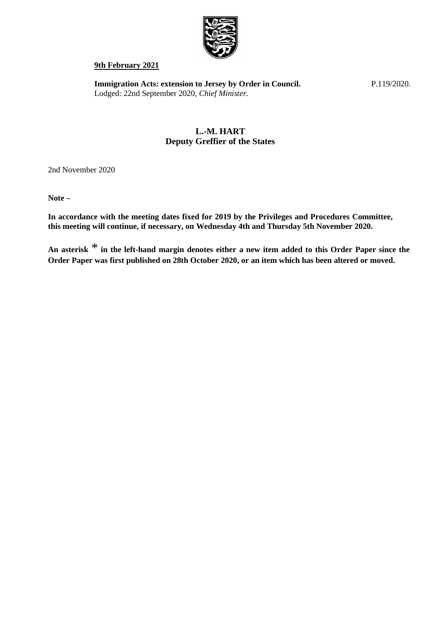

#### **9th February 2021**

**[Immigration Acts: extension to Jersey by Order in Council.](https://statesassembly.gov.je/AssemblyPropositions/2020/P.119-2020.pdf)** [Lodged: 22nd September 2020,](https://statesassembly.gov.je/AssemblyPropositions/2020/P.119-2020.pdf) *Chief Minister.*

[P.119/2020.](https://statesassembly.gov.je/AssemblyPropositions/2020/P.119-2020.pdf)

# **L.-M. HART Deputy Greffier of the States**

2nd November 2020

**Note –**

**In accordance with the meeting dates fixed for 2019 by the Privileges and Procedures Committee, this meeting will continue, if necessary, on Wednesday 4th and Thursday 5th November 2020.**

**An asterisk** \* **in the left-hand margin denotes either a new item added to this Order Paper since the Order Paper was first published on 28th October 2020, or an item which has been altered or moved.**